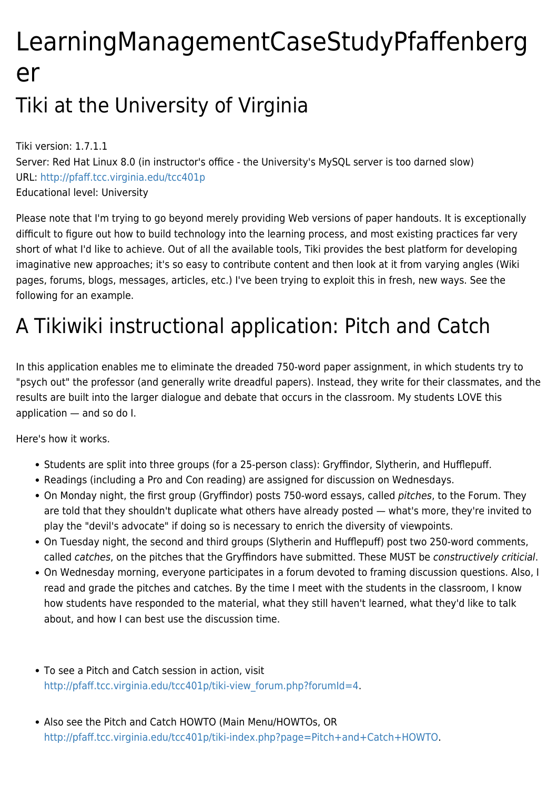# LearningManagementCaseStudyPfaffenberg er

## Tiki at the University of Virginia

Tiki version: 1.7.1.1 Server: Red Hat Linux 8.0 (in instructor's office - the University's MySQL server is too darned slow) URL:<http://pfaff.tcc.virginia.edu/tcc401p> Educational level: University

Please note that I'm trying to go beyond merely providing Web versions of paper handouts. It is exceptionally difficult to figure out how to build technology into the learning process, and most existing practices far very short of what I'd like to achieve. Out of all the available tools, Tiki provides the best platform for developing imaginative new approaches; it's so easy to contribute content and then look at it from varying angles (Wiki pages, forums, blogs, messages, articles, etc.) I've been trying to exploit this in fresh, new ways. See the following for an example.

## A Tikiwiki instructional application: Pitch and Catch

In this application enables me to eliminate the dreaded 750-word paper assignment, in which students try to "psych out" the professor (and generally write dreadful papers). Instead, they write for their classmates, and the results are built into the larger dialogue and debate that occurs in the classroom. My students LOVE this application — and so do I.

Here's how it works.

- Students are split into three groups (for a 25-person class): Gryffindor, Slytherin, and Hufflepuff.
- Readings (including a Pro and Con reading) are assigned for discussion on Wednesdays.
- On Monday night, the first group (Gryffindor) posts 750-word essays, called pitches, to the Forum. They are told that they shouldn't duplicate what others have already posted — what's more, they're invited to play the "devil's advocate" if doing so is necessary to enrich the diversity of viewpoints.
- On Tuesday night, the second and third groups (Slytherin and Hufflepuff) post two 250-word comments, called catches, on the pitches that the Gryffindors have submitted. These MUST be constructively criticial.
- On Wednesday morning, everyone participates in a forum devoted to framing discussion questions. Also, I read and grade the pitches and catches. By the time I meet with the students in the classroom, I know how students have responded to the material, what they still haven't learned, what they'd like to talk about, and how I can best use the discussion time.
- To see a Pitch and Catch session in action, visit [http://pfaff.tcc.virginia.edu/tcc401p/tiki-view\\_forum.php?forumId=4.](http://pfaff.tcc.virginia.edu/tcc401p/tiki-view_forum.php?forumId=4)
- Also see the Pitch and Catch HOWTO (Main Menu/HOWTOs, OR [http://pfaff.tcc.virginia.edu/tcc401p/tiki-index.php?page=Pitch+and+Catch+HOWTO.](http://pfaff.tcc.virginia.edu/tcc401p/tiki-index.php?page=Pitch+and+Catch+HOWTO)